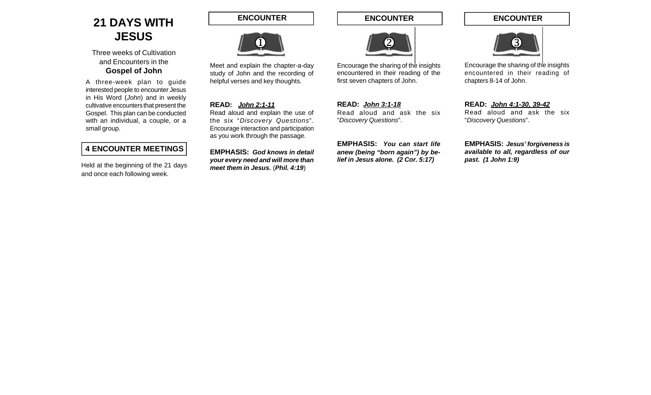## **21 DAYS WITH JESUS**

Three weeks of Cultivation and Encounters in the **Gospel of John**

A three-week plan to guide interested people to encounter Jesus in His Word (*John*) and in weekly cultivative encounters that present the Gospel. This plan can be conducted with an individual, a couple, or a small group.

### **4 ENCOUNTER MEETINGS**

Held at the beginning of the 21 days and once each following week.

**ENCOUNTER**



Meet and explain the chapter-a-day study of John and the recording of helpful verses and key thoughts.

#### **READ:** *John 2:1-11*

Read aloud and explain the use of the six "*Discovery Questions*". Encourage interaction and participation as you work through the passage.

**EMPHASIS:** *God knows in detail your every need and will more than meet them in Jesus.* (*Phil. 4:19*)

**ENCOUNTER**



Encourage the sharing of the insights encountered in their reading of the first seven chapters of John.

**READ:** *John 3:1-18* Read aloud and ask the six "*Discovery Questions*".

**EMPHASIS:** *You can start life anew (being "born again") by belief in Jesus alone. (2 Cor. 5:17)*

**ENCOUNTER**



Encourage the sharing of the insights encountered in their reading of chapters 8-14 of John.

**READ:** *John 4:1-30, 39-42* Read aloud and ask the six "*Discovery Questions*".

**EMPHASIS:** *Jesus' forgiveness is available to all, regardless of our past. (1 John 1:9)*